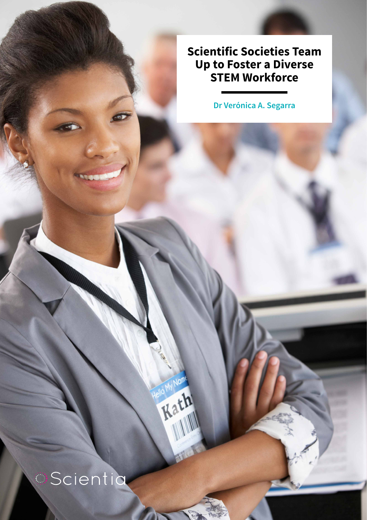**Scientific Societies Team Up to Foster a Diverse STEM Workforce**

**Dr Verónica A. Segarra**

# **Scientia**

Rath Kar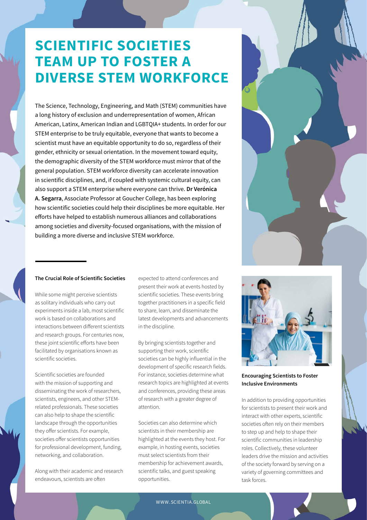### **SCIENTIFIC SOCIETIES TEAM UP TO FOSTER A DIVERSE STEM WORKFORCE**

The Science, Technology, Engineering, and Math (STEM) communities have a long history of exclusion and underrepresentation of women, African American, Latinx, American Indian and LGBTQIA+ students. In order for our STEM enterprise to be truly equitable, everyone that wants to become a scientist must have an equitable opportunity to do so, regardless of their gender, ethnicity or sexual orientation. In the movement toward equity, the demographic diversity of the STEM workforce must mirror that of the general population. STEM workforce diversity can accelerate innovation in scientific disciplines, and, if coupled with systemic cultural equity, can also support a STEM enterprise where everyone can thrive. **Dr Verónica A. Segarra**, Associate Professor at Goucher College, has been exploring how scientific societies could help their disciplines be more equitable. Her efforts have helped to establish numerous alliances and collaborations among societies and diversity-focused organisations, with the mission of building a more diverse and inclusive STEM workforce.



#### **The Crucial Role of Scientific Societies**

While some might perceive scientists as solitary individuals who carry out experiments inside a lab, most scientific work is based on collaborations and interactions between different scientists and research groups. For centuries now, these joint scientific efforts have been facilitated by organisations known as scientific societies.

Scientific societies are founded with the mission of supporting and disseminating the work of researchers, scientists, engineers, and other STEMrelated professionals. These societies can also help to shape the scientific landscape through the opportunities they offer scientists. For example, societies offer scientists opportunities for professional development, funding, networking, and collaboration.

Along with their academic and research endeavours, scientists are often

expected to attend conferences and present their work at events hosted by scientific societies. These events bring together practitioners in a specific field to share, learn, and disseminate the latest developments and advancements in the discipline.

By bringing scientists together and supporting their work, scientific societies can be highly influential in the development of specific research fields. For instance, societies determine what research topics are highlighted at events and conferences, providing these areas of research with a greater degree of attention.

Societies can also determine which scientists in their membership are highlighted at the events they host. For example, in hosting events, societies must select scientists from their membership for achievement awards, scientific talks, and guest speaking opportunities.



**Encouraging Scientists to Foster Inclusive Environments**

In addition to providing opportunities for scientists to present their work and interact with other experts, scientific societies often rely on their members to step up and help to shape their scientific communities in leadership roles. Collectively, these volunteer leaders drive the mission and activities of the society forward by serving on a variety of governing committees and task forces.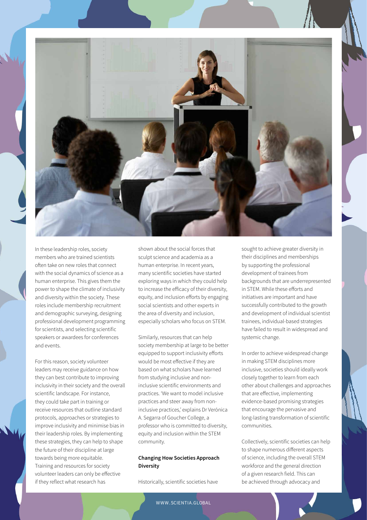

In these leadership roles, society members who are trained scientists often take on new roles that connect with the social dynamics of science as a human enterprise. This gives them the power to shape the climate of inclusivity and diversity within the society. These roles include membership recruitment and demographic surveying, designing professional development programming for scientists, and selecting scientific speakers or awardees for conferences and events.

For this reason, society volunteer leaders may receive guidance on how they can best contribute to improving inclusivity in their society and the overall scientific landscape. For instance, they could take part in training or receive resources that outline standard protocols, approaches or strategies to improve inclusivity and minimise bias in their leadership roles. By implementing these strategies, they can help to shape the future of their discipline at large towards being more equitable. Training and resources for society volunteer leaders can only be effective if they reflect what research has

shown about the social forces that sculpt science and academia as a human enterprise. In recent years, many scientific societies have started exploring ways in which they could help to increase the efficacy of their diversity, equity, and inclusion efforts by engaging social scientists and other experts in the area of diversity and inclusion, especially scholars who focus on STEM.

Similarly, resources that can help society membership at large to be better equipped to support inclusivity efforts would be most effective if they are based on what scholars have learned from studying inclusive and noninclusive scientific environments and practices. 'We want to model inclusive practices and steer away from noninclusive practices,' explains Dr Verónica A. Segarra of Goucher College, a professor who is committed to diversity, equity and inclusion within the STEM community.

#### **Changing How Societies Approach Diversity**

Historically, scientific societies have

sought to achieve greater diversity in their disciplines and memberships by supporting the professional development of trainees from backgrounds that are underrepresented in STEM. While these efforts and initiatives are important and have successfully contributed to the growth and development of individual scientist trainees, individual-based strategies have failed to result in widespread and systemic change.

In order to achieve widespread change in making STEM disciplines more inclusive, societies should ideally work closely together to learn from each other about challenges and approaches that are effective, implementing evidence-based promising strategies that encourage the pervasive and long-lasting transformation of scientific communities.

Collectively, scientific societies can help to shape numerous different aspects of science, including the overall STEM workforce and the general direction of a given research field. This can be achieved through advocacy and

WWW.SCIENTIA.GLOBAL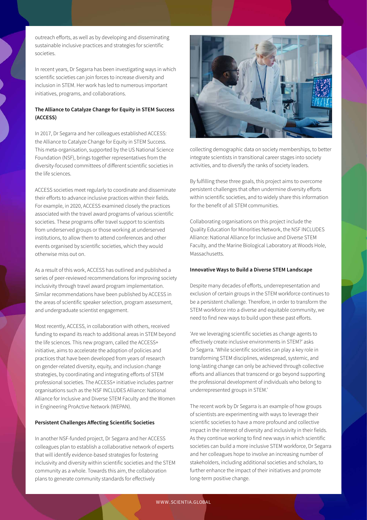outreach efforts, as well as by developing and disseminating sustainable inclusive practices and strategies for scientific societies.

In recent years, Dr Segarra has been investigating ways in which scientific societies can join forces to increase diversity and inclusion in STEM. Her work has led to numerous important initiatives, programs, and collaborations.

#### **The Alliance to Catalyze Change for Equity in STEM Success (ACCESS)**

In 2017, Dr Segarra and her colleagues established ACCESS: the Alliance to Catalyze Change for Equity in STEM Success. This meta-organisation, supported by the US National Science Foundation (NSF), brings together representatives from the diversity-focused committees of different scientific societies in the life sciences.

ACCESS societies meet regularly to coordinate and disseminate their efforts to advance inclusive practices within their fields. For example, in 2020, ACCESS examined closely the practices associated with the travel award programs of various scientific societies. These programs offer travel support to scientists from underserved groups or those working at underserved institutions, to allow them to attend conferences and other events organised by scientific societies, which they would otherwise miss out on.

As a result of this work, ACCESS has outlined and published a series of peer-reviewed recommendations for improving society inclusivity through travel award program implementation. Similar recommendations have been published by ACCESS in the areas of scientific speaker selection, program assessment, and undergraduate scientist engagement.

Most recently, ACCESS, in collaboration with others, received funding to expand its reach to additional areas in STEM beyond the life sciences. This new program, called the ACCESS+ initiative, aims to accelerate the adoption of policies and practices that have been developed from years of research on gender-related diversity, equity, and inclusion change strategies, by coordinating and integrating efforts of STEM professional societies. The ACCESS+ initiative includes partner organisations such as the NSF INCLUDES Alliance: National Alliance for Inclusive and Diverse STEM Faculty and the Women in Engineering ProActive Network (WEPAN).

#### **Persistent Challenges Affecting Scientific Societies**

In another NSF-funded project, Dr Segarra and her ACCESS colleagues plan to establish a collaborative network of experts that will identify evidence-based strategies for fostering inclusivity and diversity within scientific societies and the STEM community as a whole. Towards this aim, the collaboration plans to generate community standards for effectively



collecting demographic data on society memberships, to better integrate scientists in transitional career stages into society activities, and to diversify the ranks of society leaders.

By fulfilling these three goals, this project aims to overcome persistent challenges that often undermine diversity efforts within scientific societies, and to widely share this information for the benefit of all STEM communities.

Collaborating organisations on this project include the Quality Education for Minorities Network, the NSF INCLUDES Alliance: National Alliance for Inclusive and Diverse STEM Faculty, and the Marine Biological Laboratory at Woods Hole, Massachusetts.

#### **Innovative Ways to Build a Diverse STEM Landscape**

Despite many decades of efforts, underrepresentation and exclusion of certain groups in the STEM workforce continues to be a persistent challenge. Therefore, in order to transform the STEM workforce into a diverse and equitable community, we need to find new ways to build upon these past efforts.

'Are we leveraging scientific societies as change agents to effectively create inclusive environments in STEM?' asks Dr Segarra. 'While scientific societies can play a key role in transforming STEM disciplines, widespread, systemic, and long-lasting change can only be achieved through collective efforts and alliances that transcend or go beyond supporting the professional development of individuals who belong to underrepresented groups in STEM.'

The recent work by Dr Segarra is an example of how groups of scientists are experimenting with ways to leverage their scientific societies to have a more profound and collective impact in the interest of diversity and inclusivity in their fields. As they continue working to find new ways in which scientific societies can build a more inclusive STEM workforce, Dr Segarra and her colleagues hope to involve an increasing number of stakeholders, including additional societies and scholars, to further enhance the impact of their initiatives and promote long-term positive change.